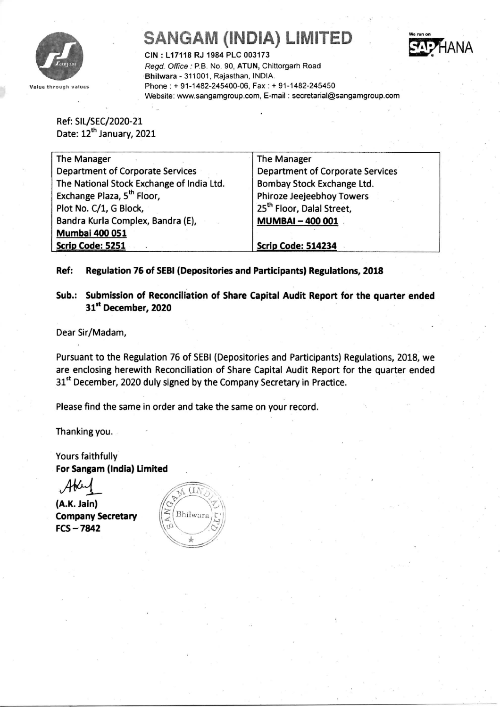

## **SANGAM (INDIA) LIMITED**



CIN : L17118 RJ 1984 PLC 003173 *Regd. Office:* P.B. No. 90, ATUN, Chittorgarh Road ·Bhilwara - 311001, Rajasthan, INDIA. Phone: + 91-1482-245400-06, Fax: + 91-1482-245450 Website: www.sangamgroup.com, E-mail: secretarial@sangamgroup.com

Ref: SIl./SEC/2020~21 Date: 12<sup>th</sup> January, 2021

| The Manager                               | The Manager                             |
|-------------------------------------------|-----------------------------------------|
| <b>Department of Corporate Services</b>   | <b>Department of Corporate Services</b> |
| The National Stock Exchange of India Ltd. | Bombay Stock Exchange Ltd.              |
| Exchange Plaza, 5 <sup>th</sup> Floor,    | Phiroze Jeejeebhoy Towers               |
| Plot No. C/1, G Block,                    | 25 <sup>th</sup> Floor, Dalal Street,   |
| Bandra Kurla Complex, Bandra (E),         | <b>MUMBAI-400001</b>                    |
| <b>Mumbai 400 051</b>                     |                                         |
| Scrip Code: 5251                          | Scrip Code: 514234                      |

Ref: Regulation 76 of SEBI (Depositories and Participants) Regulations, 2018

Sub.: Submission of Reconciliation of Share Capital Audit Report for the quarter ended 31st December, 2020

Dear Sir/Madam,

Pursuant to the Regulation 76 of SEBI (Depositories and Participants) Regulations, 2018; we are enclosing herewith Reconciliation of Share Capital Audit Report for the quarter ended 31<sup>st</sup> December, 2020 duly signed by the Company Secretary in Practice.

Please find the same in order and take the same on your record.

Thanking you.

Yours faithfully For Sangam (India) Umited

~

(A.K. Jain) Company Secretary FCS-'7842

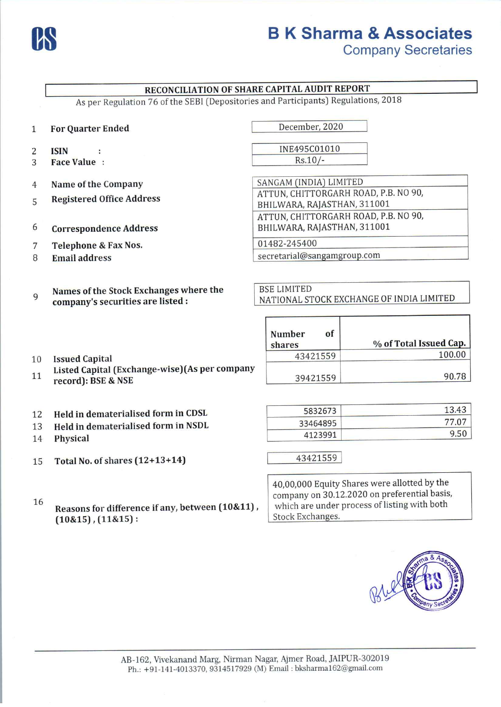

# **us** <sup>B</sup> **K Sharma & Associates**

**Company Secretaries**

#### **RECONCILIATIONOF SHARE CAPITALAUDIT REPORT** As per Regulation 76 of the SEBI (Depositories and Participants) Regulations, 2018 1 **For Quarter Ended** December, 2020 INE495C01010 2 **ISIN**  $\cdot$  $Rs.10/-$ 3 **Face Value :** SANGAM (INDIA) LIMITED 4 **Name** of the **Company** ATTUN, CHITTORGARH ROAD, P.B. NO 90, **Registered Office Address** 5 BHILWARA, RAJASTHAN, 311001 ATTUN, CHITTORGARH ROAD, P.B. NO 90, BHILWARA, RAJASTHAN, 311001 6 **Correspondence Address** 01482-245400 7 **Telephone & Fax Nos.** secretariai@sangamgroup.com 8 **Email address** BSE LIMITED **Names** of the **Stock Exchanges where the** 9 Names of the stock exchanges where the<br>
NATIONAL STOCK EXCHANGE OF INDIA LIMITED **company's securities are listed: Number of** shares **being the Word Total Issued Cap.** 43421559 100.00 **Issued Capital** 10 **Listed Capital (Exchange-wise)(As per company** 11 39421559 90.78 **record): BSE & NSE** 5832673 13.43 **Held in dematerialised form in CDSL** 12 33464895 77.07 **Held in dematerialised form in NSDL** 13 4123991 9.50 14 **Physical**

43421559 I 15 **Total No. of shares (12+13+14)**

16 **Reasons for difference if any, between (10&11) , (10&15) , (11&15) :**

40,00,000 Equity Shares were allotted by the company on 30.12.2020 on preferential basis, which are under process of listing with both Stock Exchanges.

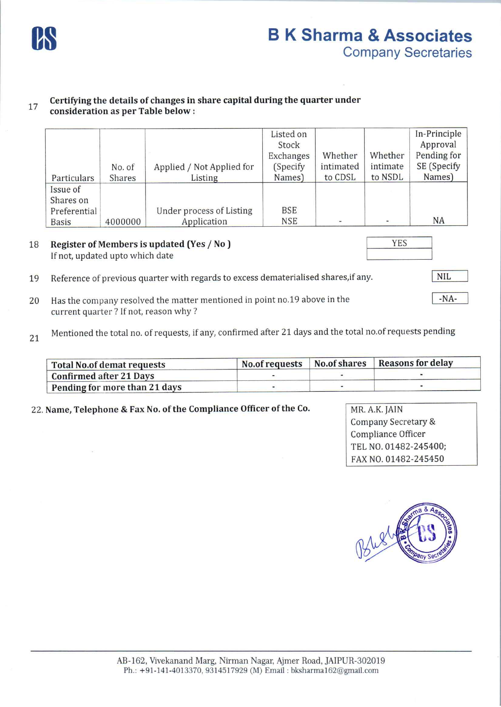

#### 17 **Certifying the details of changes in share capital during the quarter under consideration as per Table below:**

| Particulars                                           | No. of<br>Shares | Applied / Not Applied for<br>Listing    | Listed on<br>Stock<br>Exchanges<br>(Specify)<br>Names) | Whether<br>intimated<br>to CDSL | Whether<br>intimate<br>to NSDL | In-Principle<br>Approval<br>Pending for<br>SE (Specify<br>Names) |
|-------------------------------------------------------|------------------|-----------------------------------------|--------------------------------------------------------|---------------------------------|--------------------------------|------------------------------------------------------------------|
| Issue of<br>Shares on<br>Preferential<br><b>Basis</b> | 4000000          | Under process of Listing<br>Application | <b>BSE</b><br><b>NSE</b>                               | $\overline{\phantom{a}}$        |                                | NA                                                               |

18 **Register of Members is updated (Yes / No)** If not, updated upto which date

-NA-

- 19 Reference of previous quarter with regards to excess dematerialised shares, if any.
- 20 Has the company resolved the matter mentioned in point no.19 above in the current quarter? If not, reason why?
- 21 Mentioned the total no. of requests, if any, confirmed after 21 days and the total no.of requests pending

| <b>Total No.of demat requests</b> |  | No.of requests   No.of shares   Reasons for delay |
|-----------------------------------|--|---------------------------------------------------|
| <b>Confirmed after 21 Days</b>    |  |                                                   |
| Pending for more than 21 days     |  |                                                   |

22. **Name, Telephone & Fax No.** of the **Compliance Officer** of the Co. MR. AK. JAIN

Company Secretary & Compliance Officer TEL NO. 01482-245400; FAXNO. 01482-245450